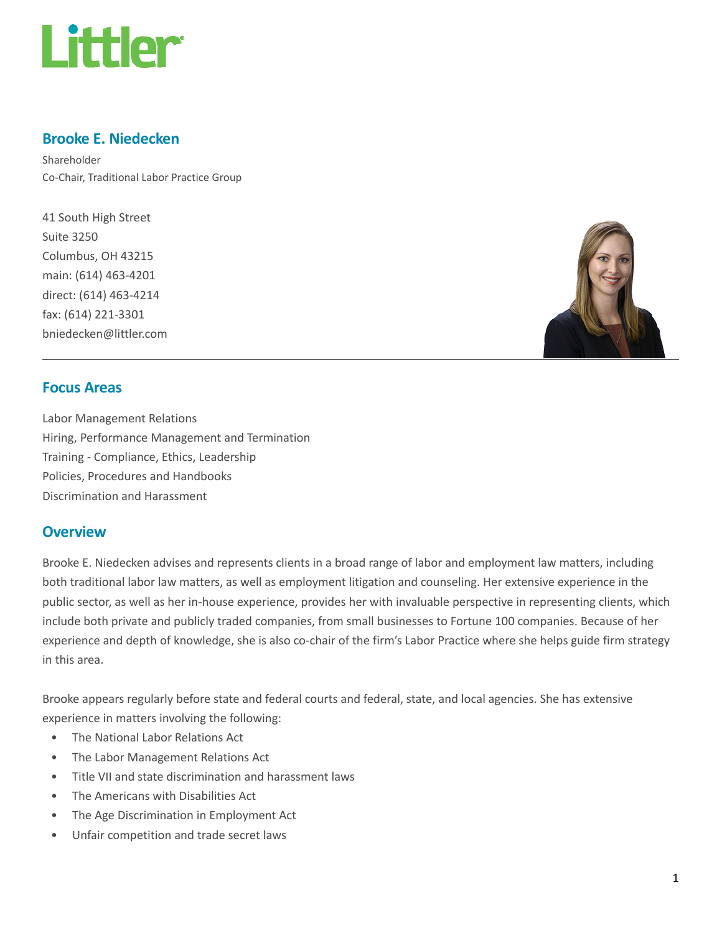

#### Brooke E. Niedecken

Shareholder Co-Chair, Traditional Labor Practice Group

41 South High Street Suite 3250 Columbus, OH 43215 main: (614) 463-4201 direct: (614) 463-4214 fax: (614) 221-3301 bniedecken@littler.com



#### Focus Areas

Labor Management Relations Hiring, Performance Management and Termination Training - Compliance, Ethics, Leadership Policies, Procedures and Handbooks Discrimination and Harassment

#### **Overview**

Brooke E. Niedecken advises and represents clients in a broad range of labor and employment law matters, including both traditional labor law matters, as well as employment litigation and counseling. Her extensive experience in the public sector, as well as her in-house experience, provides her with invaluable perspective in representing clients, which include both private and publicly traded companies, from small businesses to Fortune 100 companies. Because of her experience and depth of knowledge, she is also co-chair of the firm's Labor Practice where she helps guide firm strategy in this area.

Brooke appears regularly before state and federal courts and federal, state, and local agencies. She has extensive experience in matters involving the following:

- The National Labor Relations Act
- The Labor Management Relations Act
- Title VII and state discrimination and harassment laws
- The Americans with Disabilities Act
- The Age Discrimination in Employment Act
- Unfair competition and trade secret laws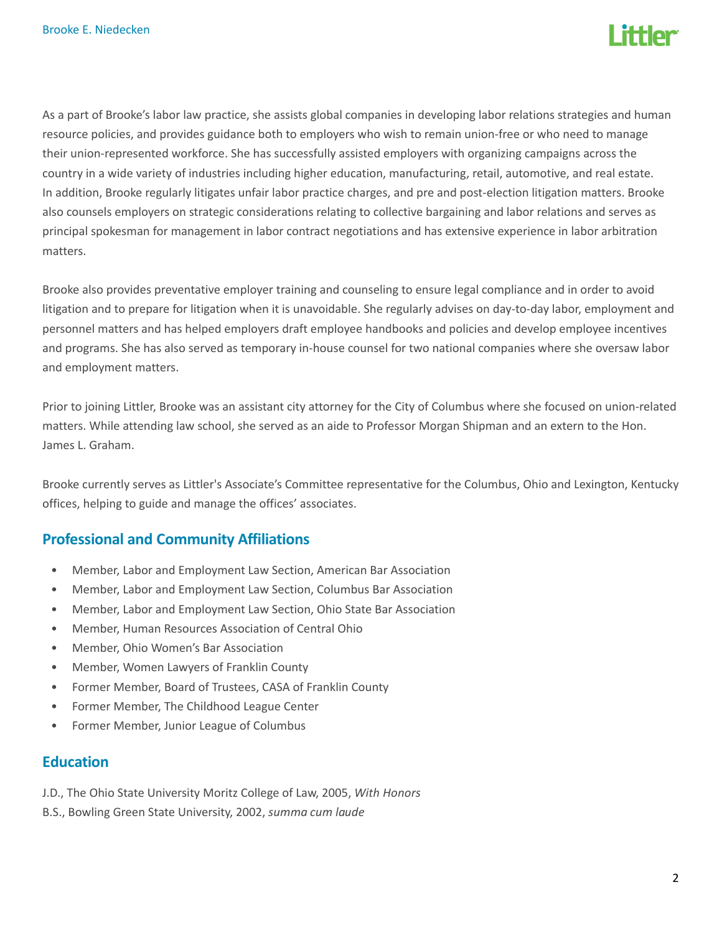

As a part of Brooke's labor law practice, she assists global companies in developing labor relations strategies and human resource policies, and provides guidance both to employers who wish to remain union-free or who need to manage their union-represented workforce. She has successfully assisted employers with organizing campaigns across the country in a wide variety of industries including higher education, manufacturing, retail, automotive, and real estate. In addition, Brooke regularly litigates unfair labor practice charges, and pre and post-election litigation matters. Brooke also counsels employers on strategic considerations relating to collective bargaining and labor relations and serves as principal spokesman for management in labor contract negotiations and has extensive experience in labor arbitration matters.

Brooke also provides preventative employer training and counseling to ensure legal compliance and in order to avoid litigation and to prepare for litigation when it is unavoidable. She regularly advises on day-to-day labor, employment and personnel matters and has helped employers draft employee handbooks and policies and develop employee incentives and programs. She has also served as temporary in-house counsel for two national companies where she oversaw labor and employment matters.

Prior to joining Littler, Brooke was an assistant city attorney for the City of Columbus where she focused on union-related matters. While attending law school, she served as an aide to Professor Morgan Shipman and an extern to the Hon. James L. Graham.

Brooke currently serves as Littler's Associate's Committee representative for the Columbus, Ohio and Lexington, Kentucky offices, helping to guide and manage the offices' associates.

### Professional and Community Affiliations

- Member, Labor and Employment Law Section, American Bar Association
- Member, Labor and Employment Law Section, Columbus Bar Association
- Member, Labor and Employment Law Section, Ohio State Bar Association
- Member, Human Resources Association of Central Ohio
- Member, Ohio Women's Bar Association
- Member, Women Lawyers of Franklin County
- Former Member, Board of Trustees, CASA of Franklin County
- Former Member, The Childhood League Center
- Former Member, Junior League of Columbus

#### **Education**

- J.D., The Ohio State University Moritz College of Law, 2005, With Honors
- B.S., Bowling Green State University, 2002, summa cum laude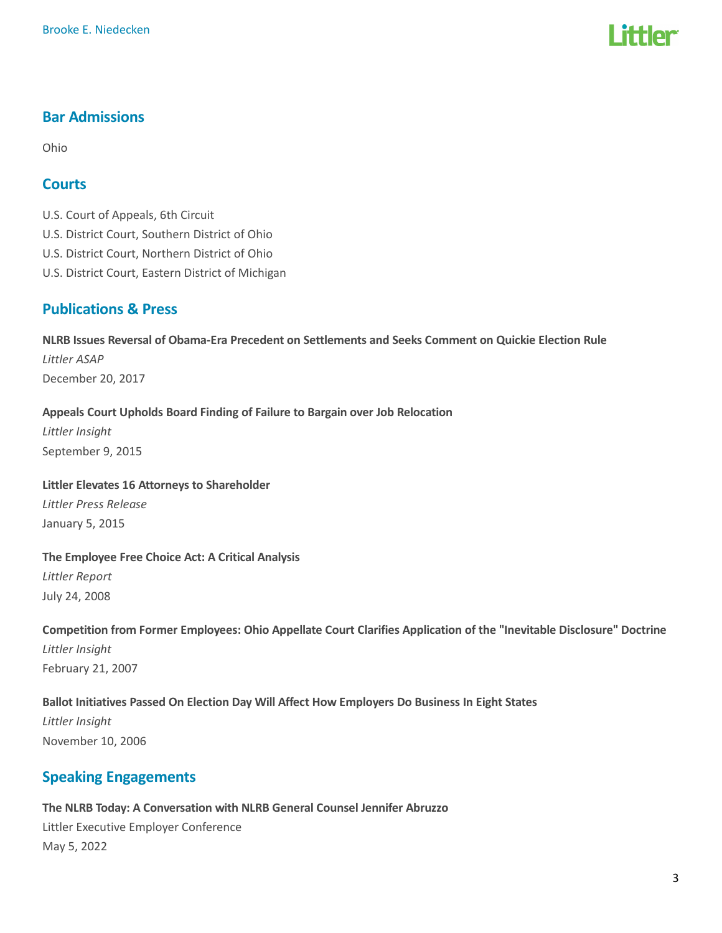# l ittler

## Bar Admissions

Ohio

#### Courts

U.S. Court of Appeals, 6th Circuit

- U.S. District Court, Southern District of Ohio
- U.S. District Court, Northern District of Ohio
- U.S. District Court, Eastern District of Michigan

### Publications & Press

NLRB Issues Reversal of Obama-Era Precedent on Settlements and Seeks Comment on Quickie Election Rule Littler ASAP December 20, 2017

#### Appeals Court Upholds Board Finding of Failure to Bargain over Job Relocation

Littler Insight September 9, 2015

Littler Elevates 16 Attorneys to Shareholder Littler Press Release

January 5, 2015

The Employee Free Choice Act: A Critical Analysis Littler Report July 24, 2008

Competition from Former Employees: Ohio Appellate Court Clarifies Application of the "Inevitable Disclosure" Doctrine Littler Insight February 21, 2007

Ballot Initiatives Passed On Election Day Will Affect How Employers Do Business In Eight States Littler Insight November 10, 2006

### Speaking Engagements

The NLRB Today: A Conversation with NLRB General Counsel Jennifer Abruzzo Littler Executive Employer Conference May 5, 2022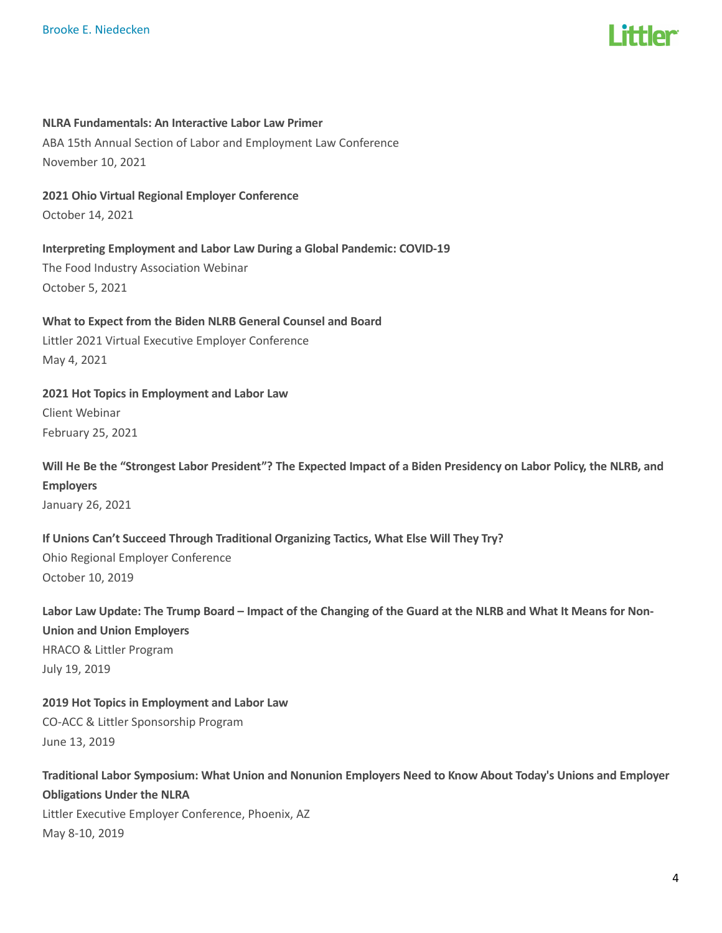

#### NLRA Fundamentals: An Interactive Labor Law Primer

ABA 15th Annual Section of Labor and Employment Law Conference November 10, 2021

2021 Ohio Virtual Regional Employer Conference October 14, 2021

Interpreting Employment and Labor Law During a Global Pandemic: COVID-19 The Food Industry Association Webinar

October 5, 2021

What to Expect from the Biden NLRB General Counsel and Board Littler 2021 Virtual Executive Employer Conference May 4, 2021

2021 Hot Topics in Employment and Labor Law Client Webinar February 25, 2021

Will He Be the "Strongest Labor President"? The Expected Impact of a Biden Presidency on Labor Policy, the NLRB, and Employers January 26, 2021

If Unions Can't Succeed Through Traditional Organizing Tactics, What Else Will They Try? Ohio Regional Employer Conference October 10, 2019

Labor Law Update: The Trump Board – Impact of the Changing of the Guard at the NLRB and What It Means for Non-Union and Union Employers HRACO & Littler Program July 19, 2019

2019 Hot Topics in Employment and Labor Law CO-ACC & Littler Sponsorship Program June 13, 2019

Traditional Labor Symposium: What Union and Nonunion Employers Need to Know About Today's Unions and Employer Obligations Under the NLRA Littler Executive Employer Conference, Phoenix, AZ May 8-10, 2019